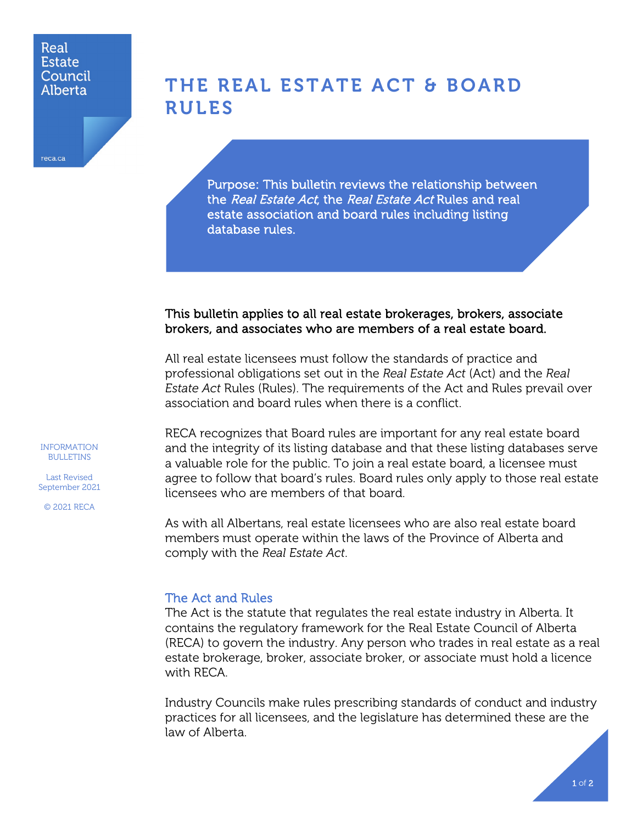### Real **Estate** Council Alberta

reca.ca

# THE REAL ESTATE ACT & BOARD RULES

Purpose: This bulletin reviews the relationship between the Real Estate Act, the Real Estate Act Rules and real estate association and board rules including listing database rules.

## This bulletin applies to all real estate brokerages, brokers, associate brokers, and associates who are members of a real estate board.

All real estate licensees must follow the standards of practice and professional obligations set out in the *Real Estate Act* (Act) and the *Real Estate Act* Rules (Rules). The requirements of the Act and Rules prevail over association and board rules when there is a conflict.

RECA recognizes that Board rules are important for any real estate board and the integrity of its listing database and that these listing databases serve a valuable role for the public. To join a real estate board, a licensee must agree to follow that board's rules. Board rules only apply to those real estate licensees who are members of that board.

As with all Albertans, real estate licensees who are also real estate board members must operate within the laws of the Province of Alberta and comply with the *Real Estate Act*.

## The Act and Rules

The Act is the statute that regulates the real estate industry in Alberta. It contains the regulatory framework for the Real Estate Council of Alberta (RECA) to govern the industry. Any person who trades in real estate as a real estate brokerage, broker, associate broker, or associate must hold a licence with RECA.

Industry Councils make rules prescribing standards of conduct and industry practices for all licensees, and the legislature has determined these are the law of Alberta.

INFORMATION BULLETINS

Last Revised September 2021

© 2021 RECA